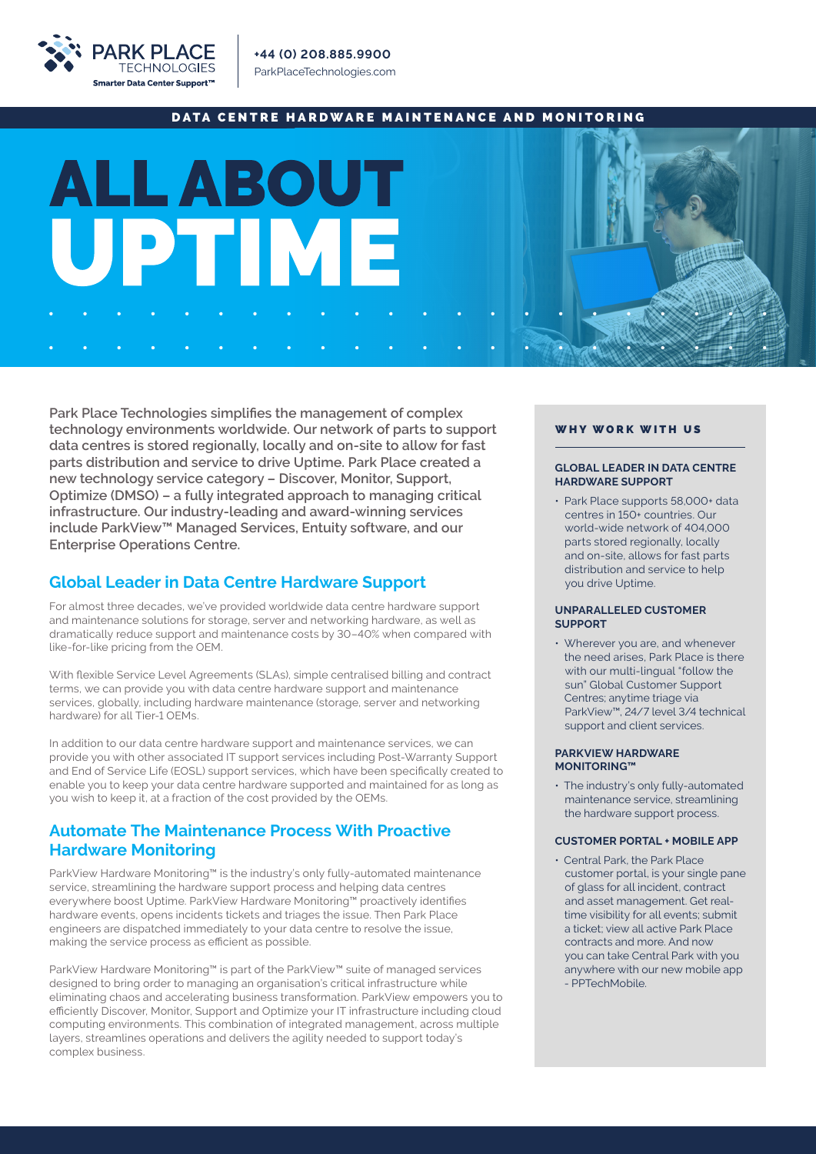

### DATA CENTRE HARDWARE MAINTENANCE AND MONITORING



**Park Place Technologies simplifies the management of complex technology environments worldwide. Our network of parts to support data centres is stored regionally, locally and on-site to allow for fast parts distribution and service to drive Uptime. Park Place created a new technology service category – Discover, Monitor, Support, Optimize (DMSO) – a fully integrated approach to managing critical infrastructure. Our industry-leading and award-winning services include ParkView™ Managed Services, Entuity software, and our Enterprise Operations Centre.** 

## **Global Leader in Data Centre Hardware Support**

For almost three decades, we've provided worldwide data centre hardware support and maintenance solutions for storage, server and networking hardware, as well as dramatically reduce support and maintenance costs by 30–40% when compared with like-for-like pricing from the OEM.

With flexible Service Level Agreements (SLAs), simple centralised billing and contract terms, we can provide you with data centre hardware support and maintenance services, globally, including hardware maintenance (storage, server and networking hardware) for all Tier-1 OEMs.

In addition to our data centre hardware support and maintenance services, we can provide you with other associated IT support services including Post-Warranty Support and End of Service Life (EOSL) support services, which have been specifically created to enable you to keep your data centre hardware supported and maintained for as long as you wish to keep it, at a fraction of the cost provided by the OEMs.

## **Automate The Maintenance Process With Proactive Hardware Monitoring**

ParkView Hardware Monitoring™ is the industry's only fully-automated maintenance service, streamlining the hardware support process and helping data centres everywhere boost Uptime. ParkView Hardware Monitoring™ proactively identifies hardware events, opens incidents tickets and triages the issue. Then Park Place engineers are dispatched immediately to your data centre to resolve the issue, making the service process as efficient as possible.

ParkView Hardware Monitoring™ is part of the ParkView™ suite of managed services designed to bring order to managing an organisation's critical infrastructure while eliminating chaos and accelerating business transformation. ParkView empowers you to efficiently Discover, Monitor, Support and Optimize your IT infrastructure including cloud computing environments. This combination of integrated management, across multiple layers, streamlines operations and delivers the agility needed to support today's complex business.

#### WHY WORK WITH US

#### **GLOBAL LEADER IN DATA CENTRE HARDWARE SUPPORT**

• Park Place supports 58,000+ data centres in 150+ countries. Our world-wide network of 404,000 parts stored regionally, locally and on-site, allows for fast parts distribution and service to help you drive Uptime.

#### **UNPARALLELED CUSTOMER SUPPORT**

• Wherever you are, and whenever the need arises, Park Place is there with our multi-lingual "follow the sun" Global Customer Support Centres; anytime triage via ParkView™, 24/7 level 3/4 technical support and client services.

#### **PARKVIEW HARDWARE MONITORING™**

• The industry's only fully-automated maintenance service, streamlining the hardware support process.

#### **CUSTOMER PORTAL + MOBILE APP**

• Central Park, the Park Place customer portal, is your single pane of glass for all incident, contract and asset management. Get real time visibility for all events; submit a ticket; view all active Park Place contracts and more. And now you can take Central Park with you anywhere with our new mobile app - PPTechMobile.